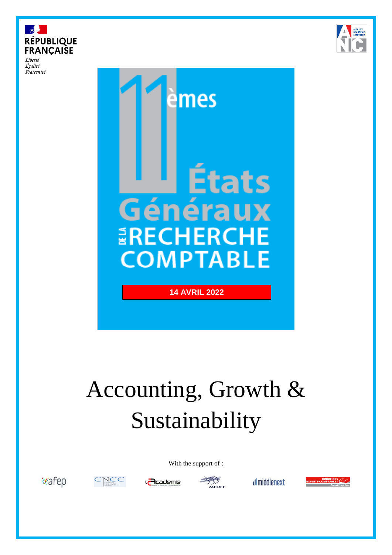

Liberté Égalité Fraternité





# Accounting, Growth & Sustainability

With the support of :











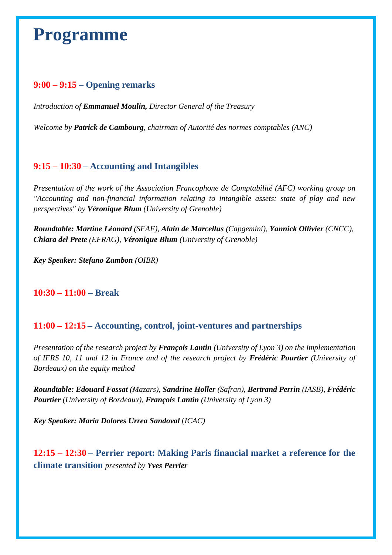## **Programme**

#### **9:00 – 9:15 – Opening remarks**

*Introduction of Emmanuel Moulin, Director General of the Treasury*

*Welcome by Patrick de Cambourg, chairman of Autorité des normes comptables (ANC)* 

#### **9:15 – 10:30 – Accounting and Intangibles**

*Presentation of the work of the Association Francophone de Comptabilité (AFC) working group on "Accounting and non-financial information relating to intangible assets: state of play and new perspectives" by Véronique Blum (University of Grenoble)*

*Roundtable: Martine Léonard (SFAF), Alain de Marcellus (Capgemini), Yannick Ollivier (CNCC), Chiara del Prete (EFRAG), Véronique Blum (University of Grenoble)*

*Key Speaker: Stefano Zambon (OIBR)*

#### **10:30 – 11:00 – Break**

#### **11:00 – 12:15 – Accounting, control, joint-ventures and partnerships**

*Presentation of the research project by François Lantin (University of Lyon 3) on the implementation of IFRS 10, 11 and 12 in France and of the research project by Frédéric Pourtier (University of Bordeaux) on the equity method*

*Roundtable: Edouard Fossat (Mazars), Sandrine Holler (Safran), Bertrand Perrin (IASB), Frédéric Pourtier (University of Bordeaux), François Lantin (University of Lyon 3)*

*Key Speaker: Maria Dolores Urrea Sandoval* (*ICAC)*

**12:15 – 12:30 – Perrier report: Making Paris financial market a reference for the climate transition** *presented by Yves Perrier*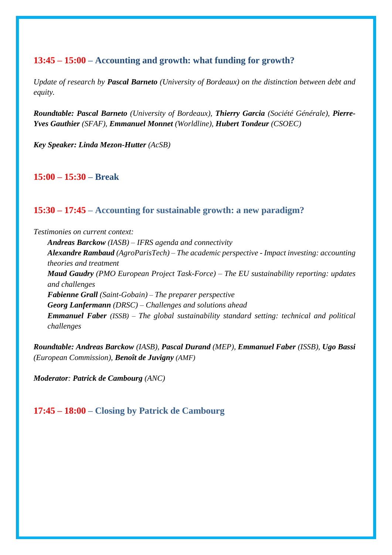#### **13:45 – 15:00 – Accounting and growth: what funding for growth?**

*Update of research by Pascal Barneto (University of Bordeaux) on the distinction between debt and equity.*

*Roundtable: Pascal Barneto (University of Bordeaux), Thierry Garcia (Société Générale), Pierre-Yves Gauthier (SFAF), Emmanuel Monnet (Worldline), Hubert Tondeur (CSOEC)*

*Key Speaker: Linda Mezon-Hutter (AcSB)*

**15:00 – 15:30 – Break**

#### **15:30 – 17:45 – Accounting for sustainable growth: a new paradigm?**

*Testimonies on current context:*

*Andreas Barckow (IASB) – IFRS agenda and connectivity Alexandre Rambaud (AgroParisTech) – The academic perspective - Impact investing: accounting theories and treatment Maud Gaudry (PMO European Project Task-Force) – The EU sustainability reporting: updates and challenges Fabienne Grall (Saint-Gobain) – The preparer perspective Georg Lanfermann (DRSC) – Challenges and solutions ahead Emmanuel Faber (ISSB) – The global sustainability standard setting: technical and political challenges*

*Roundtable: Andreas Barckow (IASB), Pascal Durand (MEP), Emmanuel Faber (ISSB), Ugo Bassi (European Commission), Benoît de Juvigny (AMF)*

*Moderator: Patrick de Cambourg (ANC)*

#### **17:45 – 18:00 – Closing by Patrick de Cambourg**